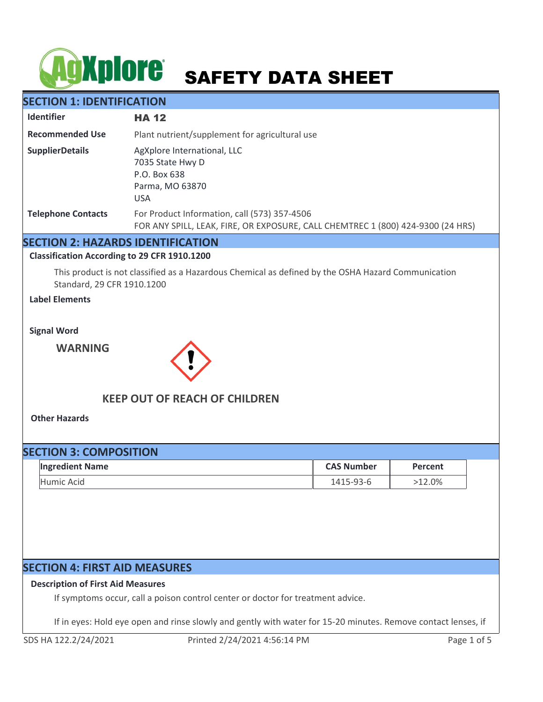# **AgXplore** SAFETY DATA SHEET

# **SECTION 1: IDENTIFICATION**

| <b>Identifier</b>         | <b>HA 12</b>                                                                                                                    |  |  |
|---------------------------|---------------------------------------------------------------------------------------------------------------------------------|--|--|
| <b>Recommended Use</b>    | Plant nutrient/supplement for agricultural use                                                                                  |  |  |
| <b>SupplierDetails</b>    | AgXplore International, LLC<br>7035 State Hwy D<br>P.O. Box 638<br>Parma, MO 63870<br><b>USA</b>                                |  |  |
| <b>Telephone Contacts</b> | For Product Information, call (573) 357-4506<br>FOR ANY SPILL, LEAK, FIRE, OR EXPOSURE, CALL CHEMTREC 1 (800) 424-9300 (24 HRS) |  |  |

# **SECTION 2: HAZARDS IDENTIFICATION**

**Classification According to 29 CFR 1910.1200**

This product is not classified as a Hazardous Chemical as defined by the OSHA Hazard Communication Standard, 29 CFR 1910.1200

**Label Elements**

**Signal Word**

**WARNING**



# **KEEP OUT OF REACH OF CHILDREN**

**Other Hazards**

| <b>SECTION 3: COMPOSITION</b> |                        |                   |           |  |  |
|-------------------------------|------------------------|-------------------|-----------|--|--|
|                               | <b>Ingredient Name</b> | <b>CAS Number</b> | Percent   |  |  |
|                               | Humic Acid             | 1415-93-6         | $>12.0\%$ |  |  |

# **SECTION 4: FIRST AID MEASURES**

# **Description of First Aid Measures**

If symptoms occur, call a poison control center or doctor for treatment advice.

If in eyes: Hold eye open and rinse slowly and gently with water for 15-20 minutes. Remove contact lenses, if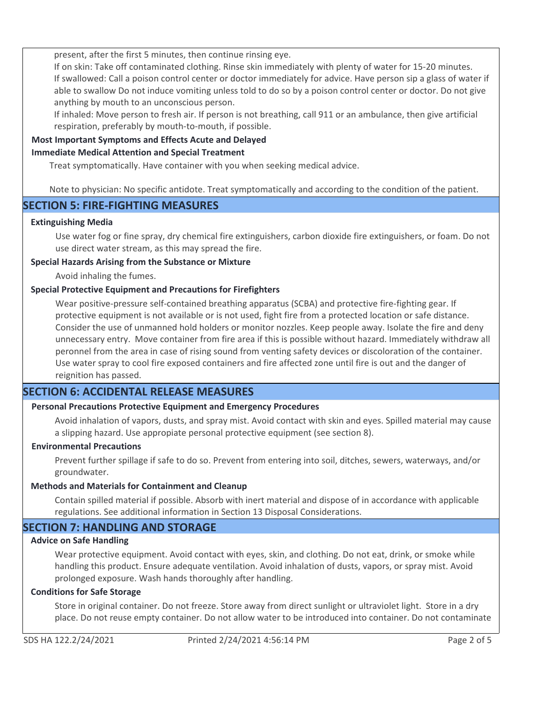present, after the first 5 minutes, then continue rinsing eye.

If on skin: Take off contaminated clothing. Rinse skin immediately with plenty of water for 15-20 minutes. If swallowed: Call a poison control center or doctor immediately for advice. Have person sip a glass of water if able to swallow Do not induce vomiting unless told to do so by a poison control center or doctor. Do not give anything by mouth to an unconscious person.

If inhaled: Move person to fresh air. If person is not breathing, call 911 or an ambulance, then give artificial respiration, preferably by mouth-to-mouth, if possible.

## **Most Important Symptoms and Effects Acute and Delayed**

#### **Immediate Medical Attention and Special Treatment**

Treat symptomatically. Have container with you when seeking medical advice.

Note to physician: No specific antidote. Treat symptomatically and according to the condition of the patient.

# **SECTION 5: FIRE-FIGHTING MEASURES**

#### **Extinguishing Media**

Use water fog or fine spray, dry chemical fire extinguishers, carbon dioxide fire extinguishers, or foam. Do not use direct water stream, as this may spread the fire.

#### **Special Hazards Arising from the Substance or Mixture**

Avoid inhaling the fumes.

## **Special Protective Equipment and Precautions for Firefighters**

Wear positive-pressure self-contained breathing apparatus (SCBA) and protective fire-fighting gear. If protective equipment is not available or is not used, fight fire from a protected location or safe distance. Consider the use of unmanned hold holders or monitor nozzles. Keep people away. Isolate the fire and deny unnecessary entry. Move container from fire area if this is possible without hazard. Immediately withdraw all peronnel from the area in case of rising sound from venting safety devices or discoloration of the container. Use water spray to cool fire exposed containers and fire affected zone until fire is out and the danger of reignition has passed.

# **SECTION 6: ACCIDENTAL RELEASE MEASURES**

## **Personal Precautions Protective Equipment and Emergency Procedures**

Avoid inhalation of vapors, dusts, and spray mist. Avoid contact with skin and eyes. Spilled material may cause a slipping hazard. Use appropiate personal protective equipment (see section 8).

#### **Environmental Precautions**

Prevent further spillage if safe to do so. Prevent from entering into soil, ditches, sewers, waterways, and/or groundwater.

#### **Methods and Materials for Containment and Cleanup**

Contain spilled material if possible. Absorb with inert material and dispose of in accordance with applicable regulations. See additional information in Section 13 Disposal Considerations.

# **SECTION 7: HANDLING AND STORAGE**

## **Advice on Safe Handling**

Wear protective equipment. Avoid contact with eyes, skin, and clothing. Do not eat, drink, or smoke while handling this product. Ensure adequate ventilation. Avoid inhalation of dusts, vapors, or spray mist. Avoid prolonged exposure. Wash hands thoroughly after handling.

#### **Conditions for Safe Storage**

Store in original container. Do not freeze. Store away from direct sunlight or ultraviolet light. Store in a dry place. Do not reuse empty container. Do not allow water to be introduced into container. Do not contaminate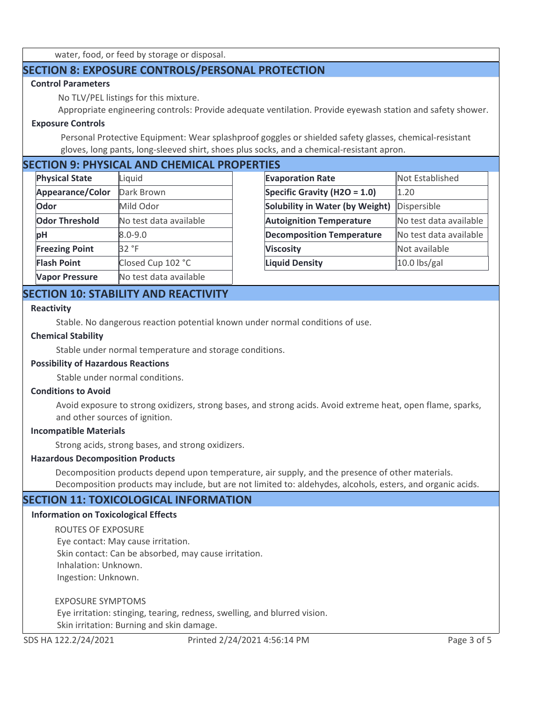water, food, or feed by storage or disposal.

# **SECTION 8: EXPOSURE CONTROLS/PERSONAL PROTECTION**

# **Control Parameters**

No TLV/PEL listings for this mixture.

Appropriate engineering controls: Provide adequate ventilation. Provide eyewash station and safety shower.

# **Exposure Controls**

Personal Protective Equipment: Wear splashproof goggles or shielded safety glasses, chemical-resistant gloves, long pants, long-sleeved shirt, shoes plus socks, and a chemical-resistant apron.

# **SECTION 9: PHYSICAL AND CHEMICAL PROPERTIES**

| <b>Physical State</b> | Liquid                 | <b>Evaporation Rate</b>          | Not Established        |
|-----------------------|------------------------|----------------------------------|------------------------|
| Appearance/Color      | Dark Brown             | Specific Gravity (H2O = $1.0$ )  | 1.20                   |
| Odor                  | Mild Odor              | Solubility in Water (by Weight)  | Dispersible            |
| <b>Odor Threshold</b> | No test data available | <b>Autoignition Temperature</b>  | No test data available |
| pH                    | $8.0 - 9.0$            | <b>Decomposition Temperature</b> | No test data available |
| <b>Freezing Point</b> | 32 °F                  | <b>Viscosity</b>                 | Not available          |
| <b>Flash Point</b>    | Closed Cup 102 °C      | <b>Liquid Density</b>            | $10.0$ lbs/gal         |
| <b>Vapor Pressure</b> | No test data available |                                  |                        |

# **SECTION 10: STABILITY AND REACTIVITY**

#### **Reactivity**

Stable. No dangerous reaction potential known under normal conditions of use.

#### **Chemical Stability**

Stable under normal temperature and storage conditions.

# **Possibility of Hazardous Reactions**

Stable under normal conditions.

#### **Conditions to Avoid**

Avoid exposure to strong oxidizers, strong bases, and strong acids. Avoid extreme heat, open flame, sparks, and other sources of ignition.

#### **Incompatible Materials**

Strong acids, strong bases, and strong oxidizers.

## **Hazardous Decomposition Products**

Decomposition products depend upon temperature, air supply, and the presence of other materials. Decomposition products may include, but are not limited to: aldehydes, alcohols, esters, and organic acids.

# **SECTION 11: TOXICOLOGICAL INFORMATION**

## **Information on Toxicological Effects**

ROUTES OF EXPOSURE Eye contact: May cause irritation. Skin contact: Can be absorbed, may cause irritation. Inhalation: Unknown. Ingestion: Unknown.

EXPOSURE SYMPTOMS

 Eye irritation: stinging, tearing, redness, swelling, and blurred vision. Skin irritation: Burning and skin damage.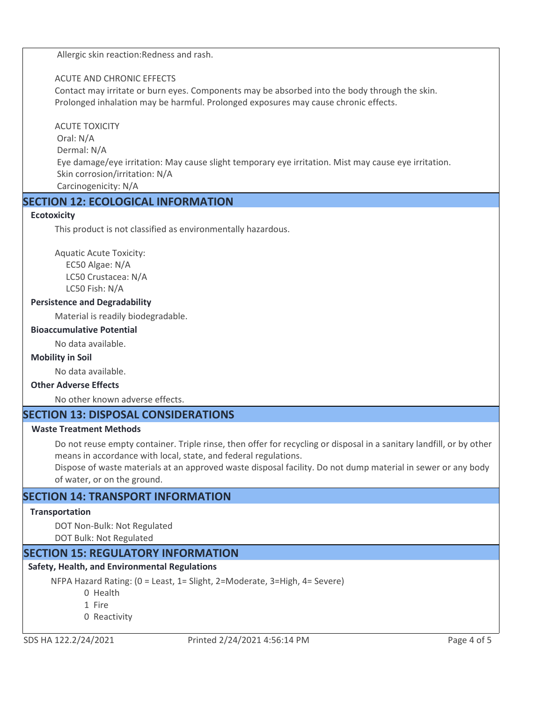Allergic skin reaction:Redness and rash.

# ACUTE AND CHRONIC EFFECTS

Contact may irritate or burn eyes. Components may be absorbed into the body through the skin. Prolonged inhalation may be harmful. Prolonged exposures may cause chronic effects.

## ACUTE TOXICITY

 Oral: N/A Dermal: N/A Eye damage/eye irritation: May cause slight temporary eye irritation. Mist may cause eye irritation. Skin corrosion/irritation: N/A Carcinogenicity: N/A

# **SECTION 12: ECOLOGICAL INFORMATION**

# **Ecotoxicity**

This product is not classified as environmentally hazardous.

Aquatic Acute Toxicity: EC50 Algae: N/A LC50 Crustacea: N/A LC50 Fish: N/A

# **Persistence and Degradability**

Material is readily biodegradable.

## **Bioaccumulative Potential**

No data available.

## **Mobility in Soil**

No data available.

# **Other Adverse Effects**

No other known adverse effects.

# **SECTION 13: DISPOSAL CONSIDERATIONS**

## **Waste Treatment Methods**

Do not reuse empty container. Triple rinse, then offer for recycling or disposal in a sanitary landfill, or by other means in accordance with local, state, and federal regulations.

Dispose of waste materials at an approved waste disposal facility. Do not dump material in sewer or any body of water, or on the ground.

# **SECTION 14: TRANSPORT INFORMATION**

## **Transportation**

DOT Non-Bulk: Not Regulated

DOT Bulk: Not Regulated

# **SECTION 15: REGULATORY INFORMATION**

# **Safety, Health, and Environmental Regulations**

NFPA Hazard Rating: (0 = Least, 1= Slight, 2=Moderate, 3=High, 4= Severe)

0 Health

- 1 Fire
- 0 Reactivity